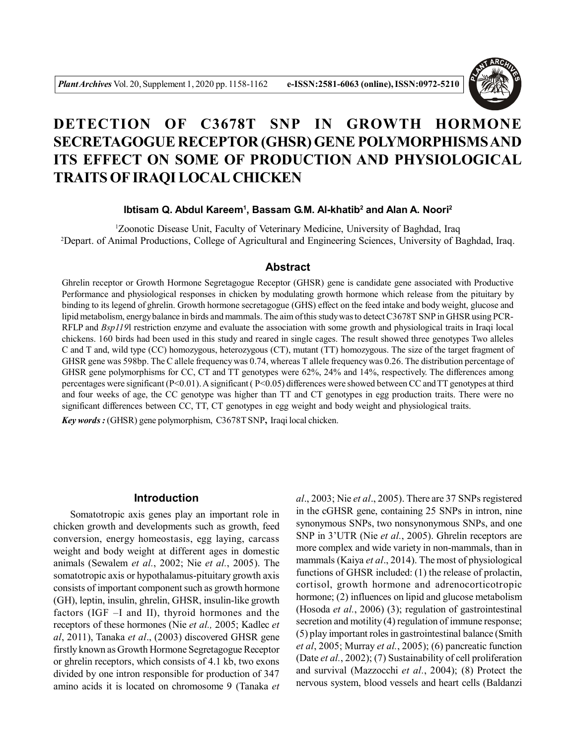

# **DETECTION OF C3678T SNP IN GROWTH HORMONE SECRETAGOGUE RECEPTOR (GHSR) GENE POLYMORPHISMS AND ITS EFFECT ON SOME OF PRODUCTION AND PHYSIOLOGICAL TRAITS OF IRAQI LOCAL CHICKEN**

### **Ibtisam Q. Abdul Kareem<sup>1</sup> , Bassam G.M. Al-khatib<sup>2</sup> and Alan A. Noori<sup>2</sup>**

<sup>1</sup>Zoonotic Disease Unit, Faculty of Veterinary Medicine, University of Baghdad, Iraq <sup>2</sup>Depart. of Animal Productions, College of Agricultural and Engineering Sciences, University of Baghdad, Iraq.

#### **Abstract**

Ghrelin receptor or Growth Hormone Segretagogue Receptor (GHSR) gene is candidate gene associated with Productive Performance and physiological responses in chicken by modulating growth hormone which release from the pituitary by binding to its legend of ghrelin. Growth hormone secretagogue (GHS) effect on the feed intake and body weight, glucose and lipid metabolism, energy balance in birds and mammals. The aim of this study was to detect C3678T SNP in GHSR using PCR-RFLP and *Bsp119*l restriction enzyme and evaluate the association with some growth and physiological traits in Iraqi local chickens. 160 birds had been used in this study and reared in single cages. The result showed three genotypes Two alleles C and T and, wild type (CC) homozygous, heterozygous (CT), mutant (TT) homozygous. The size of the target fragment of GHSR gene was 598bp. The C allele frequency was 0.74, whereas T allele frequency was 0.26. The distribution percentage of GHSR gene polymorphisms for CC, CT and TT genotypes were 62%, 24% and 14%, respectively. The differences among percentages were significant (P<0.01). A significant ( P<0.05) differences were showed between CC and TT genotypes at third and four weeks of age, the CC genotype was higher than TT and CT genotypes in egg production traits. There were no significant differences between CC, TT, CT genotypes in egg weight and body weight and physiological traits.

*Key words :* (GHSR) gene polymorphism, C3678T SNP**,** Iraqi local chicken.

### **Introduction**

Somatotropic axis genes play an important role in chicken growth and developments such as growth, feed conversion, energy homeostasis, egg laying, carcass weight and body weight at different ages in domestic animals (Sewalem *et al.*, 2002; Nie *et al.*, 2005). The somatotropic axis or hypothalamus-pituitary growth axis consists of important component such as growth hormone (GH), leptin, insulin, ghrelin, GHSR, insulin-like growth factors (IGF –I and II), thyroid hormones and the receptors of these hormones (Nie *et al.,* 2005; Kadlec *et al*, 2011), Tanaka *et al*., (2003) discovered GHSR gene firstly known as Growth Hormone Segretagogue Receptor or ghrelin receptors, which consists of 4.1 kb, two exons divided by one intron responsible for production of 347 amino acids it is located on chromosome 9 (Tanaka *et*

*al*., 2003; Nie *et al*., 2005). There are 37 SNPs registered in the cGHSR gene, containing 25 SNPs in intron, nine synonymous SNPs, two nonsynonymous SNPs, and one SNP in 3'UTR (Nie *et al.*, 2005). Ghrelin receptors are more complex and wide variety in non-mammals, than in mammals (Kaiya *et al*., 2014). The most of physiological functions of GHSR included: (1) the release of prolactin, cortisol, growth hormone and adrenocorticotropic hormone; (2) influences on lipid and glucose metabolism (Hosoda *et al.*, 2006) (3); regulation of gastrointestinal secretion and motility (4) regulation of immune response; (5) play important roles in gastrointestinal balance (Smith *et al*, 2005; Murray *et al.*, 2005); (6) pancreatic function (Date *et al.*, 2002); (7) Sustainability of cell proliferation and survival (Mazzocchi *et al.*, 2004); (8) Protect the nervous system, blood vessels and heart cells (Baldanzi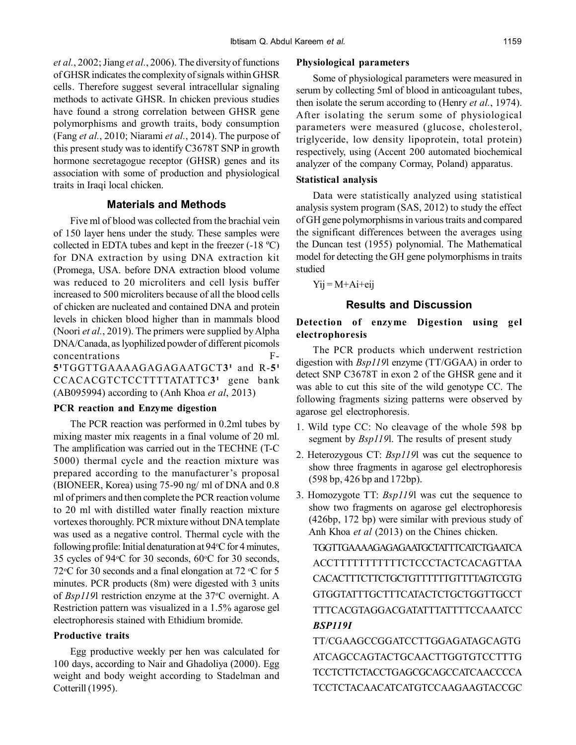*et al.*, 2002; Jiang *et al.*, 2006). The diversity of functions of GHSR indicates the complexity of signals within GHSR cells. Therefore suggest several intracellular signaling methods to activate GHSR. In chicken previous studies have found a strong correlation between GHSR gene polymorphisms and growth traits, body consumption (Fang *et al.*, 2010; Niarami *et al.*, 2014). The purpose of this present study was to identify C3678T SNP in growth hormone secretagogue receptor (GHSR) genes and its association with some of production and physiological traits in Iraqi local chicken.

### **Materials and Methods**

Five ml of blood was collected from the brachial vein of 150 layer hens under the study. These samples were collected in EDTA tubes and kept in the freezer (-18 ºC) for DNA extraction by using DNA extraction kit (Promega, USA. before DNA extraction blood volume was reduced to 20 microliters and cell lysis buffer increased to 500 microliters because of all the blood cells of chicken are nucleated and contained DNA and protein levels in chicken blood higher than in mammals blood (Noori *et al.*, 2019). The primers were supplied by Alpha DNA/Canada, as lyophilized powder of different picomols concentrations F- $5'TGGTTGAAAAGAGAGAAGATGCT3'$  and R-5<sup>1</sup> CCACACGTCTCCTTTTATATTC3<sup>1</sup> gene bank (AB095994) according to (Anh Khoa *et al*, 2013)

### **PCR reaction and Enzyme digestion**

The PCR reaction was performed in 0.2ml tubes by mixing master mix reagents in a final volume of 20 ml. The amplification was carried out in the TECHNE (T-C 5000) thermal cycle and the reaction mixture was prepared according to the manufacturer's proposal (BIONEER, Korea) using 75-90 ng/ ml of DNA and 0.8 ml of primers and then complete the PCR reaction volume to 20 ml with distilled water finally reaction mixture vortexes thoroughly. PCR mixture without DNA template was used as a negative control. Thermal cycle with the following profile: Initial denaturation at  $94^{\circ}$ C for 4 minutes, 35 cycles of 94 $\degree$ C for 30 seconds, 60 $\degree$ C for 30 seconds, 72 °C for 30 seconds and a final elongation at 72 °C for 5 minutes. PCR products (8m) were digested with 3 units of *Bsp119*l restriction enzyme at the 37°C overnight. A Restriction pattern was visualized in a 1.5% agarose gel electrophoresis stained with Ethidium bromide.

### **Productive traits**

Egg productive weekly per hen was calculated for 100 days, according to Nair and Ghadoliya (2000). Egg weight and body weight according to Stadelman and Cotterill (1995).

### **Physiological parameters**

Some of physiological parameters were measured in serum by collecting 5ml of blood in anticoagulant tubes, then isolate the serum according to (Henry *et al.*, 1974). After isolating the serum some of physiological parameters were measured (glucose, cholesterol, triglyceride, low density lipoprotein, total protein) respectively, using (Accent 200 automated biochemical analyzer of the company Cormay, Poland) apparatus.

### **Statistical analysis**

Data were statistically analyzed using statistical analysis system program (SAS, 2012) to study the effect of GH gene polymorphisms in various traits and compared the significant differences between the averages using the Duncan test (1955) polynomial. The Mathematical model for detecting the GH gene polymorphisms in traits studied

 $Yij = M+Ai+eij$ 

# **Results and Discussion**

# **Detection of enzyme Digestion using gel electrophoresis**

The PCR products which underwent restriction digestion with *Bsp119*l enzyme (TT/GGAA) in order to detect SNP C3678T in exon 2 of the GHSR gene and it was able to cut this site of the wild genotype CC. The following fragments sizing patterns were observed by agarose gel electrophoresis.

- 1. Wild type CC: No cleavage of the whole 598 bp segment by *Bsp119*l. The results of present study
- 2. Heterozygous CT: *Bsp119*l was cut the sequence to show three fragments in agarose gel electrophoresis (598 bp, 426 bp and 172bp).
- 3. Homozygote TT: *Bsp119*l was cut the sequence to show two fragments on agarose gel electrophoresis (426bp, 172 bp) were similar with previous study of Anh Khoa *et al* (2013) on the Chines chicken.

TGGTTGAAAAGAGAGAATGCTATTTCATCTGAATCA ACCTTTTTTTTTTTCTCCCTACTCACAGTTAA CACACTTTCTTCTGCTGTTTTTTGTTTTAGTCGTG GTGGTATTTGCTTTCATACTCTGCTGGTTGCCT TTTCACGTAGGACGATATTTATTTTCCAAATCC *BSP119I*

TT/CGAAGCCGGATCCTTGGAGATAGCAGTG ATCAGCCAGTACTGCAACTTGGTGTCCTTTG TCCTCTTCTACCTGAGCGCAGCCATCAACCCCA TCCTCTACAACATCATGTCCAAGAAGTACCGC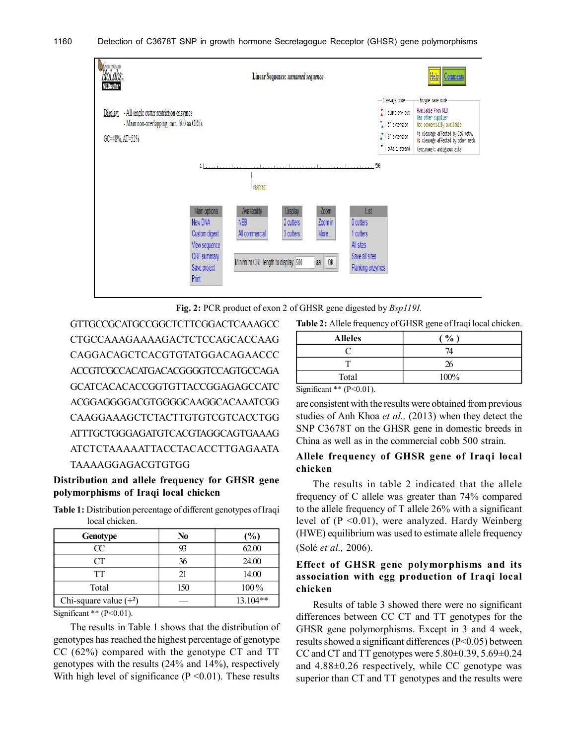#### 1160 Detection of C3678T SNP in growth hormone Secretagogue Receptor (GHSR) gene polymorphisms





GTTGCCGCATGCCGGCTCTTCGGACTCAAAGCC CTGCCAAAGAAAAGACTCTCCAGCACCAAG CAGGACAGCTCACGTGTATGGACAGAACCC ACCGTCGCCACATGACACGGGGTCCAGTGCCAGA GCATCACACACCGGTGTTACCGGAGAGCCATC ACGGAGGGGACGTGGGGCAAGGCACAAATCGG CAAGGAAAGCTCTACTTGTGTCGTCACCTGG ATTTGCTGGGAGATGTCACGTAGGCAGTGAAAG ATCTCTAAAAATTACCTACACCTTGAGAATA TAAAAGGAGACGTGTGG

# **Distribution and allele frequency for GHSR gene polymorphisms of Iraqi local chicken**

**Table 1:** Distribution percentage of different genotypes of Iraqi local chicken.

| <b>Genotype</b>             | N <sub>0</sub> | (%)        |
|-----------------------------|----------------|------------|
| Œ                           | 93             | 62.00      |
|                             | 36             | 24.00      |
| TT                          | 21             | 14.00      |
| Total                       | 150            | $100\%$    |
| Chi-square value $(\div^2)$ |                | $13.104**$ |

Significant  $**$  (P<0.01).

The results in Table 1 shows that the distribution of genotypes has reached the highest percentage of genotype CC (62%) compared with the genotype CT and TT genotypes with the results (24% and 14%), respectively With high level of significance  $(P \le 0.01)$ . These results

| $\frac{0}{0}$ |
|---------------|
| 74            |
| 26            |
| 100%          |
|               |

Significant  $**$  (P<0.01).

are consistent with the results were obtained from previous studies of Anh Khoa *et al.,* (2013) when they detect the SNP C3678T on the GHSR gene in domestic breeds in China as well as in the commercial cobb 500 strain.

### **Allele frequency of GHSR gene of Iraqi local chicken**

The results in table 2 indicated that the allele frequency of C allele was greater than 74% compared to the allele frequency of T allele 26% with a significant level of (P <0.01), were analyzed. Hardy Weinberg (HWE) equilibrium was used to estimate allele frequency (Solé *et al.,* 2006).

## **Effect of GHSR gene polymorphisms and its association with egg production of Iraqi local chicken**

Results of table 3 showed there were no significant differences between CC CT and TT genotypes for the GHSR gene polymorphisms. Except in 3 and 4 week, results showed a significant differences (P<0.05) between CC and CT and TT genotypes were  $5.80\pm0.39$ ,  $5.69\pm0.24$ and 4.88±0.26 respectively, while CC genotype was superior than CT and TT genotypes and the results were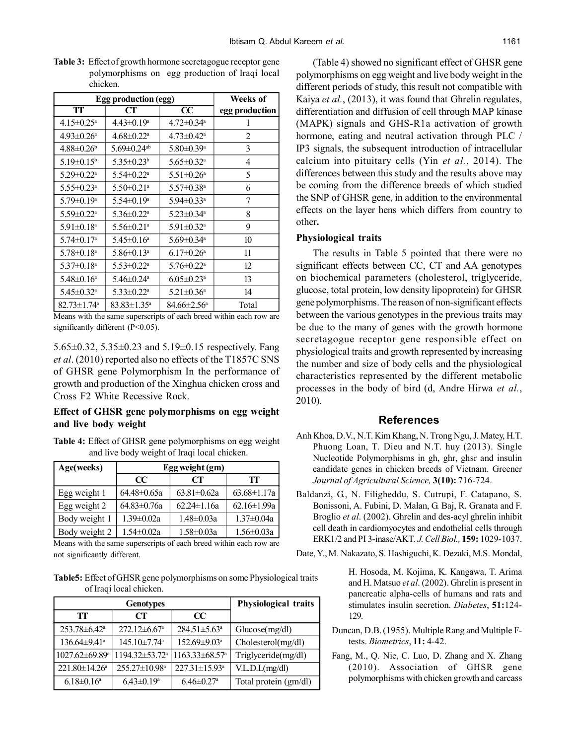| Egg production (egg)          |                               |                              | Weeks of       |
|-------------------------------|-------------------------------|------------------------------|----------------|
| TT                            | CT                            | $\overline{\text{CC}}$       | egg production |
| $4.15 \pm 0.25$ <sup>a</sup>  | $4.43 \pm 0.19^a$             | $4.72 \pm 0.34$ <sup>a</sup> |                |
| $4.93 \pm 0.26^{\circ}$       | $4.68 \pm 0.22$ <sup>a</sup>  | $4.73 \pm 0.42^a$            | 2              |
| $4.88 \pm 0.26^b$             | 5.69 $\pm$ 0.24 <sup>ab</sup> | $5.80 \pm 0.39$ <sup>a</sup> | 3              |
| $5.19 \pm 0.15^b$             | $5.35 \pm 0.23^b$             | $5.65 \pm 0.32$ <sup>a</sup> | 4              |
| $5.29 \pm 0.22$ <sup>a</sup>  | $5.54 \pm 0.22$ <sup>a</sup>  | $5.51 \pm 0.26^a$            | 5              |
| $5.55 \pm 0.23$ <sup>a</sup>  | $5.50 \pm 0.21$ <sup>a</sup>  | $5.57 \pm 0.38$ <sup>a</sup> | 6              |
| $5.79 \pm 0.19^a$             | $5.54 \pm 0.19^a$             | $5.94 \pm 0.33$ <sup>a</sup> | 7              |
| $5.59 \pm 0.22$ <sup>a</sup>  | $5.36 \pm 0.22^{\text{a}}$    | $5.23 \pm 0.34$ <sup>a</sup> | 8              |
| $5.91 \pm 0.18$ <sup>a</sup>  | $5.56 \pm 0.21$ <sup>a</sup>  | $5.91 \pm 0.32$ <sup>a</sup> | 9              |
| $5.74 \pm 0.17$ <sup>a</sup>  | $5.45 \pm 0.16^a$             | $5.69 \pm 0.34$ <sup>a</sup> | 10             |
| $5.78 \pm 0.18$ <sup>a</sup>  | $5.86 \pm 0.13$ <sup>a</sup>  | $6.17 \pm 0.26^{\circ}$      | 11             |
| $5.37 \pm 0.18$ <sup>a</sup>  | $5.53 \pm 0.22$ <sup>a</sup>  | $5.76 \pm 0.22$ <sup>a</sup> | 12             |
| $5.48 \pm 0.16^a$             | $5.46 \pm 0.24$ <sup>a</sup>  | $6.05 \pm 0.23$ <sup>a</sup> | 13             |
| $5.45 \pm 0.32$ <sup>a</sup>  | $5.33 \pm 0.22^{\text{a}}$    | $5.21 \pm 0.36^a$            | 14             |
| $82.73 \pm 1.74$ <sup>a</sup> | $83.83 \pm 1.35^{\circ}$      | $84.66 \pm 2.56^{\circ}$     | Total          |

**Table 3:** Effect of growth hormone secretagogue receptor gene polymorphisms on egg production of Iraqi local chicken.

Means with the same superscripts of each breed within each row are significantly different (P<0.05).

5.65±0.32, 5.35±0.23 and 5.19±0.15 respectively. Fang *et al*. (2010) reported also no effects of the T1857C SNS of GHSR gene Polymorphism In the performance of growth and production of the Xinghua chicken cross and Cross F2 White Recessive Rock.

### **Effect of GHSR gene polymorphisms on egg weight and live body weight**

**Table 4:** Effect of GHSR gene polymorphisms on egg weight and live body weight of Iraqi local chicken.

| Age(weeks)    | Egg weight (gm)   |                   |                   |
|---------------|-------------------|-------------------|-------------------|
|               | $\alpha$          | CT                | TТ                |
| Egg weight 1  | $64.48 \pm 0.65a$ | $63.81 \pm 0.62a$ | $63.68 \pm 1.17a$ |
| Egg weight 2  | $64.83 \pm 0.76a$ | $62.24 \pm 1.16a$ | $62.16 \pm 1.99a$ |
| Body weight 1 | $1.39 \pm 0.02a$  | $1.48 \pm 0.03a$  | $1.37 \pm 0.04a$  |
| Body weight 2 | 1.54±0.02a        | $1.58 \pm 0.03a$  | $1.56 \pm 0.03a$  |

Means with the same superscripts of each breed within each row are not significantly different.

**Table5:** Effect of GHSR gene polymorphisms on some Physiological traits of Iraqi local chicken.

| <b>Genotypes</b>                 |                                  | Physiological traits            |                       |
|----------------------------------|----------------------------------|---------------------------------|-----------------------|
| TТ                               | CT                               | $\alpha$                        |                       |
| $253.78 \pm 6.42^a$              | $272.12 \pm 6.67$ <sup>a</sup>   | $284.51 \pm 5.63$ <sup>a</sup>  | Glucose(mg/dl)        |
| $136.64 \pm 9.41^{\circ}$        | $145.10 \pm 7.74$ <sup>a</sup>   | $152.69 \pm 9.03$ <sup>a</sup>  | Cholesterol(mg/dl)    |
| $1027.62 \pm 69.89$ <sup>a</sup> | $1194.32 \pm 53.72$ <sup>a</sup> | $1163.33\pm 68.57$ <sup>a</sup> | Triglyceride(mg/dl)   |
| $221.80 \pm 14.26^a$             | $255.27 \pm 10.98^{\circ}$       | $227.31 \pm 15.93$ <sup>a</sup> | V.L.D.L(mg/dl)        |
| $6.18 \pm 0.16^a$                | $6.43\pm0.19^a$                  | $6.46 \pm 0.27$ <sup>a</sup>    | Total protein (gm/dl) |

(Table 4) showed no significant effect of GHSR gene polymorphisms on egg weight and live body weight in the different periods of study, this result not compatible with Kaiya *et al.*, (2013), it was found that Ghrelin regulates, differentiation and diffusion of cell through MAP kinase (MAPK) signals and GHS-R1a activation of growth hormone, eating and neutral activation through PLC / IP3 signals, the subsequent introduction of intracellular calcium into pituitary cells (Yin *et al.*, 2014). The differences between this study and the results above may be coming from the difference breeds of which studied the SNP of GHSR gene, in addition to the environmental effects on the layer hens which differs from country to other**.**

#### **Physiological traits**

The results in Table 5 pointed that there were no significant effects between CC, CT and AA genotypes on biochemical parameters (cholesterol, triglyceride, glucose, total protein, low density lipoprotein) for GHSR gene polymorphisms. The reason of non-significant effects between the various genotypes in the previous traits may be due to the many of genes with the growth hormone secretagogue receptor gene responsible effect on physiological traits and growth represented by increasing the number and size of body cells and the physiological characteristics represented by the different metabolic processes in the body of bird (d, Andre Hirwa *et al.*, 2010).

### **References**

- Anh Khoa, D.V., N.T. Kim Khang, N. Trong Ngu, J. Matey, H.T. Phuong Loan, T. Dieu and N.T. huy (2013). Single Nucleotide Polymorphisms in gh, ghr, ghsr and insulin candidate genes in chicken breeds of Vietnam. Greener *Journal of Agricultural Science,* **3(10):** 716-724.
- Baldanzi, G., N. Filigheddu, S. Cutrupi, F. Catapano, S. Bonissoni, A. Fubini, D. Malan, G. Baj, R. Granata and F. Broglio *et al*. (2002). Ghrelin and des-acyl ghrelin inhibit cell death in cardiomyocytes and endothelial cells through ERK1/2 and PI 3-inase/AKT*. J. Cell Biol.,* **159:** 1029-1037.

Date, Y., M. Nakazato, S. Hashiguchi, K. Dezaki, M.S. Mondal,

H. Hosoda, M. Kojima, K. Kangawa, T. Arima and H. Matsuo *et al*. (2002). Ghrelin is present in pancreatic alpha-cells of humans and rats and stimulates insulin secretion. *Diabetes*, **51:**124- 129.

- Duncan, D.B. (1955). Multiple Rang and Multiple Ftests. *Biometrics*, **11:** 4-42.
- Fang, M., Q. Nie, C. Luo, D. Zhang and X. Zhang (2010). Association of GHSR gene polymorphisms with chicken growth and carcass